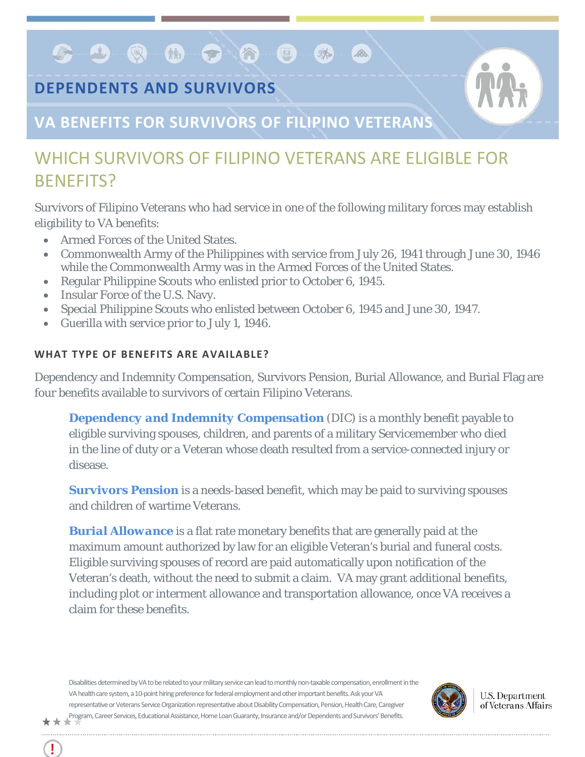**DEPENDENTS AND SURVIVORS**

 $G$  . On  $G$  . On  $G$  ,  $G$  ,  $G$  ,  $G$  ,  $G$  ,  $G$  ,  $G$  ,  $G$  ,  $G$  ,  $G$  ,  $G$  ,  $G$  ,  $G$  ,  $G$  ,  $G$  ,  $G$  ,  $G$  ,  $G$  ,  $G$  ,  $G$  ,  $G$  ,  $G$  ,  $G$  ,  $G$  ,  $G$  ,  $G$  ,  $G$  ,  $G$  ,  $G$  ,  $G$  ,  $G$  ,  $G$  ,  $G$  ,  $G$  ,



## **VA BENEFITS FOR SURVIVORS OF FILIPINO VETERANS**

## WHICH SURVIVORS OF FILIPINO VETERANS ARE FLIGIBLE FOR BENEFITS?

Survivors of Filipino Veterans who had service in one of the following military forces may establish eligibility to VA benefits:

麻

Bo.

- Armed Forces of the United States.
- Commonwealth Army of the Philippines with service from July 26, 1941 through June 30, 1946 while the Commonwealth Army was in the Armed Forces of the United States.
- Regular Philippine Scouts who enlisted prior to October 6, 1945.
- Insular Force of the U.S. Navy.

Ţ

- Special Philippine Scouts who enlisted between October 6, 1945 and June 30, 1947.
- Guerilla with service prior to July 1, 1946.

## **WHAT TYPE OF BENEFITS ARE AVAILABLE?**

Dependency and Indemnity Compensation, Survivors Pension, Burial Allowance, and Burial Flag are four benefits available to survivors of certain Filipino Veterans.

*[Dependency and Indemnity Compensation](http://benefits.va.gov/COMPENSATION/types-dependency_and_indemnity.asp)* (DIC) is a monthly benefit payable to eligible surviving spouses, children, and parents of a military Servicemember who died in the line of duty or a Veteran whose death resulted from a service-connected injury or disease.

*[Survivors Pension](http://www.benefits.va.gov/pension/spousepen.asp)* is a needs-based benefit, which may be paid to surviving spouses and children of wartime Veterans.

*[Burial Allowance](http://www.benefits.va.gov/compensation/claims-special-burial.asp)* is a flat rate monetary benefits that are generally paid at the maximum amount authorized by law for an eligible Veteran's burial and funeral costs. Eligible surviving spouses of record are paid automatically upon notification of the Veteran's death, without the need to submit a claim. VA may grant additional benefits, including plot or interment allowance and transportation allowance, once VA receives a claim for these benefits.

Disabilities determined by VA to be related to your military service canlead to monthly non-taxable compensation, enrollment in the VA health care system, a 10-point hiring preference for federal employment and other important benefits. Ask your VA representative or Veterans Service Organization representative about Disability Compensation, Pension, Health Care, Caregiver Program, Career Services, Educational Assistance, Home Loan Guaranty, Insurance and/or Dependents and Survivors' Benefits.\*\*\*



**U.S. Department** of Veterans Affairs